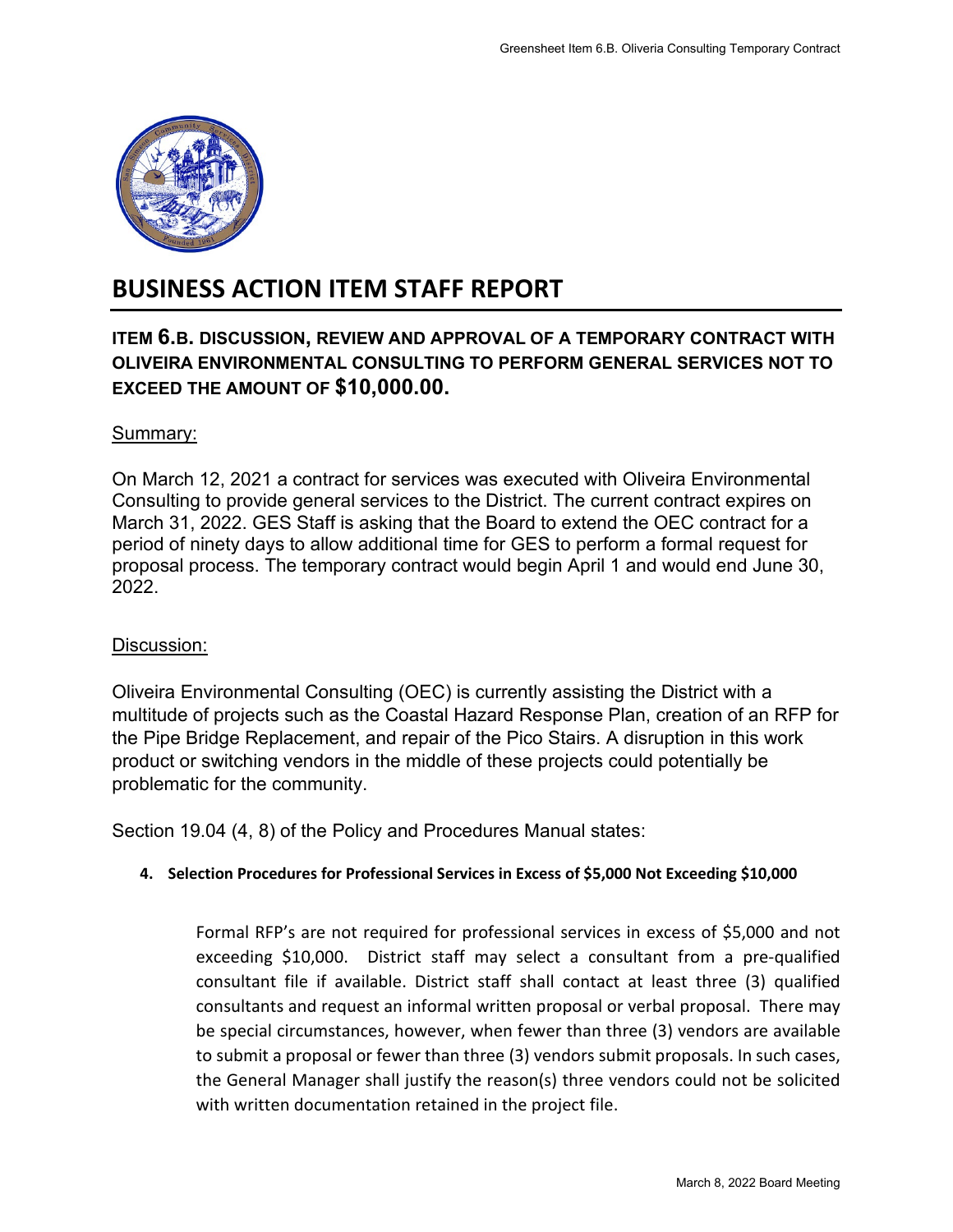

# **BUSINESS ACTION ITEM STAFF REPORT**

## **ITEM 6.B. DISCUSSION, REVIEW AND APPROVAL OF A TEMPORARY CONTRACT WITH OLIVEIRA ENVIRONMENTAL CONSULTING TO PERFORM GENERAL SERVICES NOT TO EXCEED THE AMOUNT OF \$10,000.00.**

## Summary:

On March 12, 2021 a contract for services was executed with Oliveira Environmental Consulting to provide general services to the District. The current contract expires on March 31, 2022. GES Staff is asking that the Board to extend the OEC contract for a period of ninety days to allow additional time for GES to perform a formal request for proposal process. The temporary contract would begin April 1 and would end June 30, 2022.

## Discussion:

Oliveira Environmental Consulting (OEC) is currently assisting the District with a multitude of projects such as the Coastal Hazard Response Plan, creation of an RFP for the Pipe Bridge Replacement, and repair of the Pico Stairs. A disruption in this work product or switching vendors in the middle of these projects could potentially be problematic for the community.

Section 19.04 (4, 8) of the Policy and Procedures Manual states:

### **4. Selection Procedures for Professional Services in Excess of \$5,000 Not Exceeding \$10,000**

Formal RFP's are not required for professional services in excess of \$5,000 and not exceeding \$10,000. District staff may select a consultant from a pre-qualified consultant file if available. District staff shall contact at least three (3) qualified consultants and request an informal written proposal or verbal proposal. There may be special circumstances, however, when fewer than three (3) vendors are available to submit a proposal or fewer than three (3) vendors submit proposals. In such cases, the General Manager shall justify the reason(s) three vendors could not be solicited with written documentation retained in the project file. Greensheet Item 6.B. Oliveria Consulting Temporary Contract<br> **TAL OF A TEMPORARY CONTRACT WITH**<br> **PERFORM GENERAL SERVICES NOT TO**<br>
executed with Oliveira Environmental<br>
sistrict. The current contract expires on<br>
or GES to